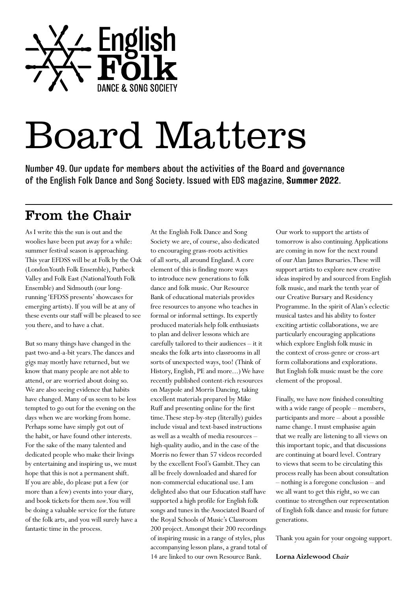

# Board Matters

Number 49. Our update for members about the activities of the Board and governance of the English Folk Dance and Song Society. Issued with EDS magazine, **Summer 2022**.

### From the Chair

As I write this the sun is out and the woolies have been put away for a while: summer festival season is approaching. This year EFDSS will be at Folk by the Oak (London Youth Folk Ensemble), Purbeck Valley and Folk East (National Youth Folk Ensemble) and Sidmouth (our longrunning 'EFDSS presents' showcases for emerging artists). If you will be at any of these events our staff will be pleased to see you there, and to have a chat.

But so many things have changed in the past two-and-a-bit years. The dances and gigs may mostly have returned, but we know that many people are not able to attend, or are worried about doing so. We are also seeing evidence that habits have changed. Many of us seem to be less tempted to go out for the evening on the days when we are working from home. Perhaps some have simply got out of the habit, or have found other interests. For the sake of the many talented and dedicated people who make their livings by entertaining and inspiring us, we must hope that this is not a permanent shift. If you are able, do please put a few (or more than a few) events into your diary, and book tickets for them *now*. You will be doing a valuable service for the future of the folk arts, and you will surely have a fantastic time in the process.

At the English Folk Dance and Song Society we are, of course, also dedicated to encouraging grass-roots activities of all sorts, all around England. A core element of this is finding more ways to introduce new generations to folk dance and folk music. Our Resource Bank of educational materials provides free resources to anyone who teaches in formal or informal settings. Its expertly produced materials help folk enthusiasts to plan and deliver lessons which are carefully tailored to their audiences – it it sneaks the folk arts into classrooms in all sorts of unexpected ways, too! (Think of History, English, PE and more...) We have recently published content-rich resources on Maypole and Morris Dancing, taking excellent materials prepared by Mike Ruff and presenting online for the first time. These step-by-step (literally) guides include visual and text-based instructions as well as a wealth of media resources – high-quality audio, and in the case of the Morris no fewer than 57 videos recorded by the excellent Fool's Gambit. They can all be freely downloaded and shared for non-commercial educational use. I am delighted also that our Education staff have supported a high profile for English folk songs and tunes in the Associated Board of the Royal Schools of Music's Classroom 200 project. Amongst their 200 recordings of inspiring music in a range of styles, plus accompanying lesson plans, a grand total of 14 are linked to our own Resource Bank.

Our work to support the artists of tomorrow is also continuing. Applications are coming in now for the next round of our Alan James Bursaries. These will support artists to explore new creative ideas inspired by and sourced from English folk music, and mark the tenth year of our Creative Bursary and Residency Programme. In the spirit of Alan's eclectic musical tastes and his ability to foster exciting artistic collaborations, we are particularly encouraging applications which explore English folk music in the context of cross-genre or cross-art form collaborations and explorations. But English folk music must be the core element of the proposal.

Finally, we have now finished consulting with a wide range of people – members, participants and more – about a possible name change. I must emphasise again that we really are listening to all views on this important topic, and that discussions are continuing at board level. Contrary to views that seem to be circulating this process really has been about consultation – nothing is a foregone conclusion – and we all want to get this right, so we can continue to strengthen our representation of English folk dance and music for future generations.

Thank you again for your ongoing support.

#### **Lorna Aizlewood** *Chair*